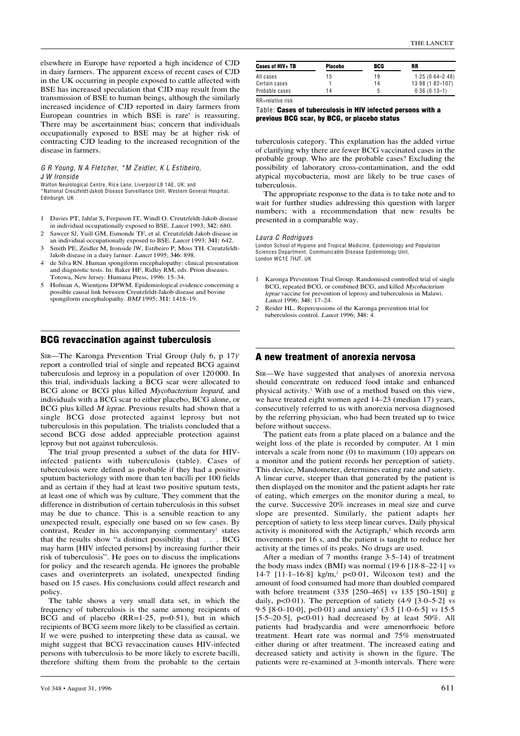elsewhere in Europe have reported a high incidence of CJD in dairy farmers. The apparent excess of recent cases of CJD in the UK occurring in people exposed to cattle affected <sup>w</sup>ith BSE ha<sup>s</sup> increased speculation that CJD may result from the transmission of BSE to human beings, although the <sup>s</sup>imilarly increased incidence of CJD reported in dairy farmer<sup>s</sup> from European countries in which  $BSE$  is rare<sup>5</sup> is reassuring. There may be ascertainment bias; concern that individual<sup>s</sup> occupationally exposed to BSE may be at higher risk of contracting CJD leading to the increased recognition of the disease in farmers.

G R Young, N A Fletcher, \*M Z <sup>e</sup>idler, K L Estibeiro, J W Ironside

Walton Neurological Centre, Rice Lane, Liverpool L9 1AE, UK; and

\*National Creuzfeldt-Jakob Disease Surveillance Unit, Western General Hospital, Edinburgh, UK

- 1 Davies PT, Jahfar S, Ferguson IT, Windl O. Creutzfeldt-Jakob disease in individual occupationally exposed to BSE. <sup>L</sup>ance<sup>t</sup> 1993; 342: 680.
- 2 Sawcer SJ, Yuill GM, Esmonde TF, et al. Creutzfeldt-Jakob disease in an individual occupationally exposed to BSE. <sup>L</sup>ance<sup>t</sup> 1993; 341: 642. 3 Smith PE, Zeidler M, Ironside JW, Estibeiro P, Moss TH. Creutzfeldt-
- Jakob disease in a dairy farmer. <sup>L</sup>ance<sup>t</sup> 1995; 346: 898.
- 4 de Silva RN. Human spongiform encephalopathy: clinical presentation and diagnostic tests. In: <sup>B</sup>aker HF, Ridley RM, eds. Prion diseases. Totowa, New Jersey: Humana Press, 1996: 15–34.
- 5 Hofman A, Wientjens DPWM. Epidemiological evidence concerning a possible causal link between Creutzfeldt-Jakob disease and bovine spongiform encephalopathy. BMJ 1995; 311: 1418-19.

## BCG revaccination against tuberculosis

SIR—The Karonga Prevention Trial Group (July 6, p  $17$ )<sup>1</sup> report a controlled trial of <sup>s</sup>ingle and repeated BCG against tuberculosi<sup>s</sup> and leprosy in a population of over 120 000. In thi<sup>s</sup> trial, individual<sup>s</sup> lacking a BCG scar were allocated to BCG alone or BCG plus killed Mycobacterium leopard, and individual<sup>s</sup> <sup>w</sup>ith a BCG scar to either placebo, BCG alone, or BCG plus killed <sup>M</sup> leprae. Previous results had shown that a <sup>s</sup>ingle BCG dose protected against leprosy but not tuberculosi<sup>s</sup> in thi<sup>s</sup> population. The trialists concluded that a second BCG dose added appreciable protection against leprosy but not against tuberculosis.

The trial group presented a subset of the data for HIVinfected patients <sup>w</sup>ith tuberculosi<sup>s</sup> (table). Cases of tuberculosi<sup>s</sup> were defined a<sup>s</sup> probable if they had a positive sputum bacteriology <sup>w</sup>ith more than ten bacilli per 100 fields and a<sup>s</sup> certain if they had at least two positive sputum tests, at least one of which <sup>w</sup>a<sup>s</sup> by culture. They comment that the difference in distribution of certain tuberculosi<sup>s</sup> in thi<sup>s</sup> subset may be due to chance. Thi<sup>s</sup> i<sup>s</sup> a sensible reaction to any unexpected result, especially one based on so few cases. <sup>B</sup>y contrast, Reider in his accompanying commentary<sup>2</sup> states that the results show "a distinct possibility that . . . BCG may harm [HIV infected persons] by increasing further their risk of tuberculosis". He goes on to discuss the implications for policy and the research agenda. He ignores the probable cases and overinterprets an isolated, unexpected finding based on 15 cases. Hi<sup>s</sup> conclusions could affect research and policy.

The table shows a very small data set, in which the frequency of tuberculosi<sup>s</sup> i<sup>s</sup> the <sup>s</sup>ame among recipients of BCG and of placebo  $(RR=1.25, p=0.51)$ , but in which recipients of BCG seem more likely to be classified a<sup>s</sup> certain. If we were pushed to interpreting these data a<sup>s</sup> causal, we might suggest that BCG revaccination causes HIV-infected persons <sup>w</sup>ith tuberculosi<sup>s</sup> to be more likely to excrete bacilli, therefore shifting them from the probable to the certain RR=relative risk

### Table: Cases of tuberculosis in HIV infected persons with a previous BCG scar, by BCG, or placebo status

tuberculosi<sup>s</sup> category. Thi<sup>s</sup> explanation ha<sup>s</sup> the added virtue of clarifying why there are fewer BCG vaccinated cases in the probable group. Who are the probable cases? Excluding the possibility of laboratory cross-contamination, and the odd atypical mycobacteria, most are likely to be true cases of tuberculosis.

The appropriate response to the data i<sup>s</sup> to take note and to <sup>w</sup>ait for further studies addressing thi<sup>s</sup> question <sup>w</sup>ith larger numbers; <sup>w</sup>ith a recommendation that new results be presented in a comparable <sup>w</sup>ay.

#### Laura C Rodrigues

London School of Hygiene and Tropical Medicine, Epidemiology and Population Sciences Department, Communicable Disease Epidemiology Unit, London WC1E 7HJT, UK

- 1 Karonga Prevention Trial Group. Randomised controlled trial of <sup>s</sup>ingle BCG, repeated BCG, or combined BCG, and killed Mycobacterium lepra<sup>e</sup> vaccine for prevention <sup>o</sup>f leprosy and tuberculosi<sup>s</sup> in Malawi. <sup>L</sup>ance<sup>t</sup> 1996; 348: 17–24.
- 2 Reider HL. Repercussions of the Karonga prevention trial for tuberculosis control. Lancet 1996; 348: 4.

#### A new treatment of anorexia nervosa

SIR—We have suggested that analyses of anorexia nervosa should concentrate on reduced food intake and enhanced physical activity.1 With use of a method based on thi<sup>s</sup> view, we have treated eight women aged 14–23 (median 17) years, consecutively referred to us <sup>w</sup>ith anorexia nervosa diagnosed by the referring physician, who had been treated up to twice before <sup>w</sup>ithout success.

The patient eats from a plate placed on a balance and the weight loss of the plate i<sup>s</sup> recorded by computer. At 1 min interval<sup>s</sup> a scale from none (0) to maximum (10) appear<sup>s</sup> on a monitor and the patient records her perception of <sup>s</sup>atiety. Thi<sup>s</sup> device, Mandometer, determines eating rate and <sup>s</sup>atiety. A linear curve, steeper than that generated by the patient i<sup>s</sup> then displayed on the monitor and the patient adapts her rate of eating, which emerges on the monitor during a meal, to the curve. Successive 20% increases in meal <sup>s</sup>ize and curve <sup>s</sup>lope are presented. Similarly, the patient adapts her perception of <sup>s</sup>atiety to less steep linear curves. Daily physical activity is monitored with the Actigraph,<sup>2</sup> which records arm movements per 16 s, and the patient i<sup>s</sup> taught to reduce her activity at the times of its peaks. No drug<sup>s</sup> are used.

After a median of 7 months (range 3·5–14) of treatment the body mass index (BMI) <sup>w</sup>a<sup>s</sup> normal (19·6 [18·8–22·1] <sup>v</sup><sup>s</sup> 14·7 [11·1-16·8] kg/m,<sup>2</sup> p<0·01, Wilcoxon test) and the amount of food consumed had more than doubled compared <sup>w</sup>ith before treatment (335 [250–465] <sup>v</sup><sup>s</sup> 135 [50–150] g daily,  $p<0.01$ ). The perception of satiety  $(4.9 [3.0-5.2]$  vs 9.5 [8.0–10.0],  $p<0.01$ ) and anxiety<sup>3</sup> (3.5 [1.0–6.5] vs 15.5 [5·5–20·5],  $p<0.01$ ) had decreased by at least 50%. All patients had bradycardia and were amenorrhoeic before treatment. Heart rate <sup>w</sup>a<sup>s</sup> normal and 75% menstruated either during or after treatment. The increased eating and decreased <sup>s</sup>atiety and activity i<sup>s</sup> shown in the figure. The patients were re-examined at 3-month intervals. There were